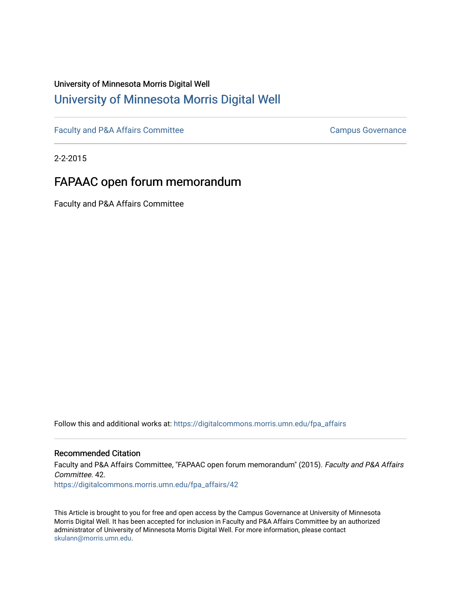## University of Minnesota Morris Digital Well [University of Minnesota Morris Digital Well](https://digitalcommons.morris.umn.edu/)

[Faculty and P&A Affairs Committee](https://digitalcommons.morris.umn.edu/fpa_affairs) [Campus Governance](https://digitalcommons.morris.umn.edu/campgov) Campus Governance

2-2-2015

## FAPAAC open forum memorandum

Faculty and P&A Affairs Committee

Follow this and additional works at: [https://digitalcommons.morris.umn.edu/fpa\\_affairs](https://digitalcommons.morris.umn.edu/fpa_affairs?utm_source=digitalcommons.morris.umn.edu%2Ffpa_affairs%2F42&utm_medium=PDF&utm_campaign=PDFCoverPages)

#### Recommended Citation

Faculty and P&A Affairs Committee, "FAPAAC open forum memorandum" (2015). Faculty and P&A Affairs Committee. 42. [https://digitalcommons.morris.umn.edu/fpa\\_affairs/42](https://digitalcommons.morris.umn.edu/fpa_affairs/42?utm_source=digitalcommons.morris.umn.edu%2Ffpa_affairs%2F42&utm_medium=PDF&utm_campaign=PDFCoverPages) 

This Article is brought to you for free and open access by the Campus Governance at University of Minnesota Morris Digital Well. It has been accepted for inclusion in Faculty and P&A Affairs Committee by an authorized administrator of University of Minnesota Morris Digital Well. For more information, please contact [skulann@morris.umn.edu.](mailto:skulann@morris.umn.edu)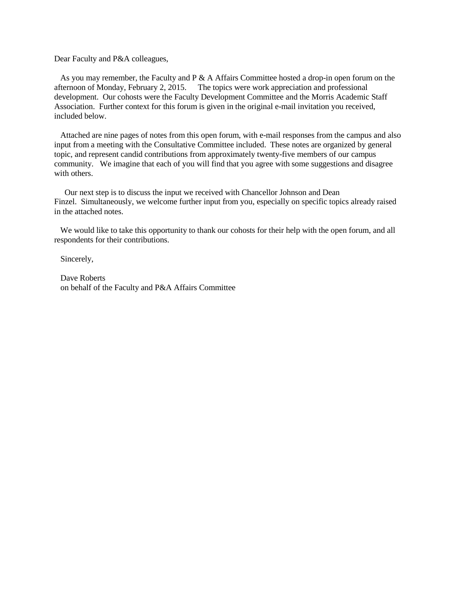Dear Faculty and P&A colleagues,

As you may remember, the Faculty and  $P \& A$  Affairs Committee hosted a drop-in open forum on the afternoon of Monday, February 2, 2015. The topics were work appreciation and professional development. Our cohosts were the Faculty Development Committee and the Morris Academic Staff Association. Further context for this forum is given in the original e-mail invitation you received, included below.

Attached are nine pages of notes from this open forum, with e-mail responses from the campus and also input from a meeting with the Consultative Committee included. These notes are organized by general topic, and represent candid contributions from approximately twenty-five members of our campus community. We imagine that each of you will find that you agree with some suggestions and disagree with others.

Our next step is to discuss the input we received with Chancellor Johnson and Dean Finzel. Simultaneously, we welcome further input from you, especially on specific topics already raised in the attached notes.

We would like to take this opportunity to thank our cohosts for their help with the open forum, and all respondents for their contributions.

Sincerely,

Dave Roberts on behalf of the Faculty and P&A Affairs Committee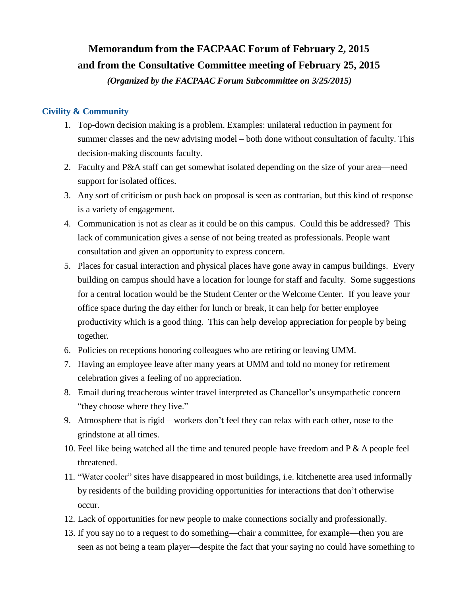# **Memorandum from the FACPAAC Forum of February 2, 2015 and from the Consultative Committee meeting of February 25, 2015**

*(Organized by the FACPAAC Forum Subcommittee on 3/25/2015)*

### **Civility & Community**

- 1. Top-down decision making is a problem. Examples: unilateral reduction in payment for summer classes and the new advising model – both done without consultation of faculty. This decision-making discounts faculty.
- 2. Faculty and P&A staff can get somewhat isolated depending on the size of your area—need support for isolated offices.
- 3. Any sort of criticism or push back on proposal is seen as contrarian, but this kind of response is a variety of engagement.
- 4. Communication is not as clear as it could be on this campus. Could this be addressed? This lack of communication gives a sense of not being treated as professionals. People want consultation and given an opportunity to express concern.
- 5. Places for casual interaction and physical places have gone away in campus buildings. Every building on campus should have a location for lounge for staff and faculty. Some suggestions for a central location would be the Student Center or the Welcome Center. If you leave your office space during the day either for lunch or break, it can help for better employee productivity which is a good thing. This can help develop appreciation for people by being together.
- 6. Policies on receptions honoring colleagues who are retiring or leaving UMM.
- 7. Having an employee leave after many years at UMM and told no money for retirement celebration gives a feeling of no appreciation.
- 8. Email during treacherous winter travel interpreted as Chancellor's unsympathetic concern "they choose where they live."
- 9. Atmosphere that is rigid workers don't feel they can relax with each other, nose to the grindstone at all times.
- 10. Feel like being watched all the time and tenured people have freedom and  $P \& A$  people feel threatened.
- 11. "Water cooler" sites have disappeared in most buildings, i.e. kitchenette area used informally by residents of the building providing opportunities for interactions that don't otherwise occur.
- 12. Lack of opportunities for new people to make connections socially and professionally.
- 13. If you say no to a request to do something—chair a committee, for example—then you are seen as not being a team player—despite the fact that your saying no could have something to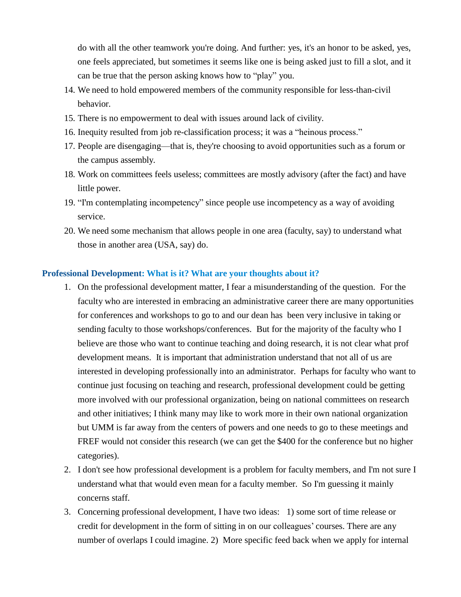do with all the other teamwork you're doing. And further: yes, it's an honor to be asked, yes, one feels appreciated, but sometimes it seems like one is being asked just to fill a slot, and it can be true that the person asking knows how to "play" you.

- 14. We need to hold empowered members of the community responsible for less-than-civil behavior.
- 15. There is no empowerment to deal with issues around lack of civility.
- 16. Inequity resulted from job re-classification process; it was a "heinous process."
- 17. People are disengaging—that is, they're choosing to avoid opportunities such as a forum or the campus assembly.
- 18. Work on committees feels useless; committees are mostly advisory (after the fact) and have little power.
- 19. "I'm contemplating incompetency" since people use incompetency as a way of avoiding service.
- 20. We need some mechanism that allows people in one area (faculty, say) to understand what those in another area (USA, say) do.

#### **Professional Development: What is it? What are your thoughts about it?**

- 1. On the professional development matter, I fear a misunderstanding of the question. For the faculty who are interested in embracing an administrative career there are many opportunities for conferences and workshops to go to and our dean has been very inclusive in taking or sending faculty to those workshops/conferences. But for the majority of the faculty who I believe are those who want to continue teaching and doing research, it is not clear what prof development means. It is important that administration understand that not all of us are interested in developing professionally into an administrator. Perhaps for faculty who want to continue just focusing on teaching and research, professional development could be getting more involved with our professional organization, being on national committees on research and other initiatives; I think many may like to work more in their own national organization but UMM is far away from the centers of powers and one needs to go to these meetings and FREF would not consider this research (we can get the \$400 for the conference but no higher categories).
- 2. I don't see how professional development is a problem for faculty members, and I'm not sure I understand what that would even mean for a faculty member. So I'm guessing it mainly concerns staff.
- 3. Concerning professional development, I have two ideas: 1) some sort of time release or credit for development in the form of sitting in on our colleagues' courses. There are any number of overlaps I could imagine. 2) More specific feed back when we apply for internal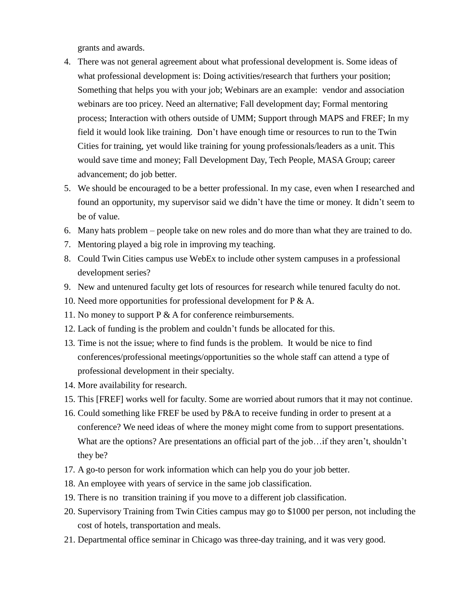grants and awards.

- 4. There was not general agreement about what professional development is. Some ideas of what professional development is: Doing activities/research that furthers your position; Something that helps you with your job; Webinars are an example: vendor and association webinars are too pricey. Need an alternative; Fall development day; Formal mentoring process; Interaction with others outside of UMM; Support through MAPS and FREF; In my field it would look like training. Don't have enough time or resources to run to the Twin Cities for training, yet would like training for young professionals/leaders as a unit. This would save time and money; Fall Development Day, Tech People, MASA Group; career advancement; do job better.
- 5. We should be encouraged to be a better professional. In my case, even when I researched and found an opportunity, my supervisor said we didn't have the time or money. It didn't seem to be of value.
- 6. Many hats problem people take on new roles and do more than what they are trained to do.
- 7. Mentoring played a big role in improving my teaching.
- 8. Could Twin Cities campus use WebEx to include other system campuses in a professional development series?
- 9. New and untenured faculty get lots of resources for research while tenured faculty do not.
- 10. Need more opportunities for professional development for P & A.
- 11. No money to support  $P \& A$  for conference reimbursements.
- 12. Lack of funding is the problem and couldn't funds be allocated for this.
- 13. Time is not the issue; where to find funds is the problem. It would be nice to find conferences/professional meetings/opportunities so the whole staff can attend a type of professional development in their specialty.
- 14. More availability for research.
- 15. This [FREF] works well for faculty. Some are worried about rumors that it may not continue.
- 16. Could something like FREF be used by P&A to receive funding in order to present at a conference? We need ideas of where the money might come from to support presentations. What are the options? Are presentations an official part of the job... if they aren't, shouldn't they be?
- 17. A go-to person for work information which can help you do your job better.
- 18. An employee with years of service in the same job classification.
- 19. There is no transition training if you move to a different job classification.
- 20. Supervisory Training from Twin Cities campus may go to \$1000 per person, not including the cost of hotels, transportation and meals.
- 21. Departmental office seminar in Chicago was three-day training, and it was very good.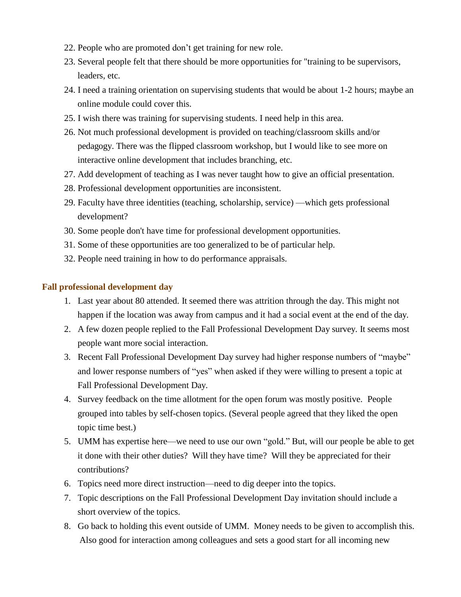- 22. People who are promoted don't get training for new role.
- 23. Several people felt that there should be more opportunities for "training to be supervisors, leaders, etc.
- 24. I need a training orientation on supervising students that would be about 1-2 hours; maybe an online module could cover this.
- 25. I wish there was training for supervising students. I need help in this area.
- 26. Not much professional development is provided on teaching/classroom skills and/or pedagogy. There was the flipped classroom workshop, but I would like to see more on interactive online development that includes branching, etc.
- 27. Add development of teaching as I was never taught how to give an official presentation.
- 28. Professional development opportunities are inconsistent.
- 29. Faculty have three identities (teaching, scholarship, service) —which gets professional development?
- 30. Some people don't have time for professional development opportunities.
- 31. Some of these opportunities are too generalized to be of particular help.
- 32. People need training in how to do performance appraisals.

#### **Fall professional development day**

- 1. Last year about 80 attended. It seemed there was attrition through the day. This might not happen if the location was away from campus and it had a social event at the end of the day.
- 2. A few dozen people replied to the Fall Professional Development Day survey. It seems most people want more social interaction.
- 3. Recent Fall Professional Development Day survey had higher response numbers of "maybe" and lower response numbers of "yes" when asked if they were willing to present a topic at Fall Professional Development Day.
- 4. Survey feedback on the time allotment for the open forum was mostly positive. People grouped into tables by self-chosen topics. (Several people agreed that they liked the open topic time best.)
- 5. UMM has expertise here—we need to use our own "gold." But, will our people be able to get it done with their other duties? Will they have time? Will they be appreciated for their contributions?
- 6. Topics need more direct instruction—need to dig deeper into the topics.
- 7. Topic descriptions on the Fall Professional Development Day invitation should include a short overview of the topics.
- 8. Go back to holding this event outside of UMM. Money needs to be given to accomplish this. Also good for interaction among colleagues and sets a good start for all incoming new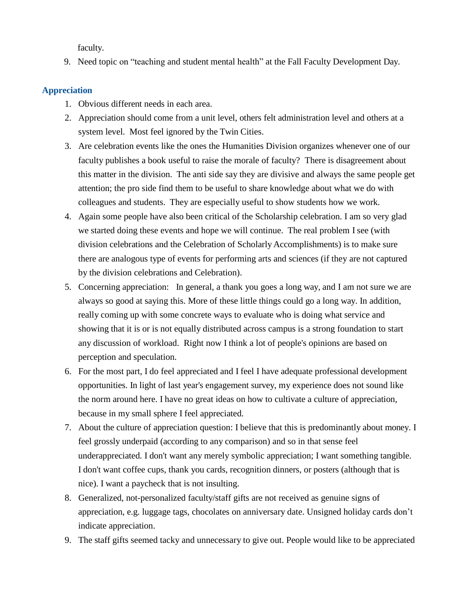faculty.

9. Need topic on "teaching and student mental health" at the Fall Faculty Development Day.

#### **Appreciation**

- 1. Obvious different needs in each area.
- 2. Appreciation should come from a unit level, others felt administration level and others at a system level. Most feel ignored by the Twin Cities.
- 3. Are celebration events like the ones the Humanities Division organizes whenever one of our faculty publishes a book useful to raise the morale of faculty? There is disagreement about this matter in the division. The anti side say they are divisive and always the same people get attention; the pro side find them to be useful to share knowledge about what we do with colleagues and students. They are especially useful to show students how we work.
- 4. Again some people have also been critical of the Scholarship celebration. I am so very glad we started doing these events and hope we will continue. The real problem I see (with division celebrations and the Celebration of Scholarly Accomplishments) is to make sure there are analogous type of events for performing arts and sciences (if they are not captured by the division celebrations and Celebration).
- 5. Concerning appreciation: In general, a thank you goes a long way, and I am not sure we are always so good at saying this. More of these little things could go a long way. In addition, really coming up with some concrete ways to evaluate who is doing what service and showing that it is or is not equally distributed across campus is a strong foundation to start any discussion of workload. Right now I think a lot of people's opinions are based on perception and speculation.
- 6. For the most part, I do feel appreciated and I feel I have adequate professional development opportunities. In light of last year's engagement survey, my experience does not sound like the norm around here. I have no great ideas on how to cultivate a culture of appreciation, because in my small sphere I feel appreciated.
- 7. About the culture of appreciation question: I believe that this is predominantly about money. I feel grossly underpaid (according to any comparison) and so in that sense feel underappreciated. I don't want any merely symbolic appreciation; I want something tangible. I don't want coffee cups, thank you cards, recognition dinners, or posters (although that is nice). I want a paycheck that is not insulting.
- 8. Generalized, not-personalized faculty/staff gifts are not received as genuine signs of appreciation, e.g. luggage tags, chocolates on anniversary date. Unsigned holiday cards don't indicate appreciation.
- 9. The staff gifts seemed tacky and unnecessary to give out. People would like to be appreciated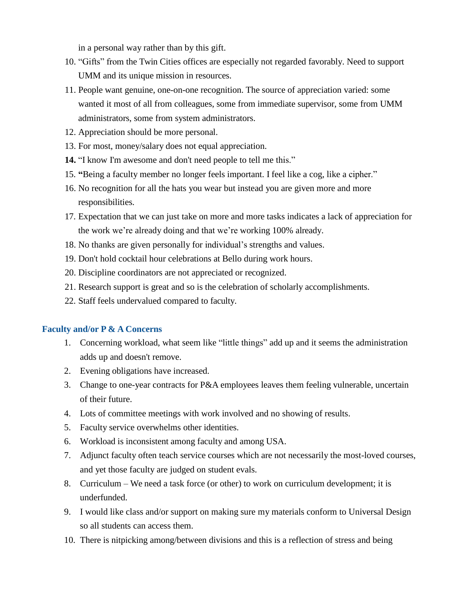in a personal way rather than by this gift.

- 10. "Gifts" from the Twin Cities offices are especially not regarded favorably. Need to support UMM and its unique mission in resources.
- 11. People want genuine, one-on-one recognition. The source of appreciation varied: some wanted it most of all from colleagues, some from immediate supervisor, some from UMM administrators, some from system administrators.
- 12. Appreciation should be more personal.
- 13. For most, money/salary does not equal appreciation.
- **14.** "I know I'm awesome and don't need people to tell me this."
- 15. **"**Being a faculty member no longer feels important. I feel like a cog, like a cipher."
- 16. No recognition for all the hats you wear but instead you are given more and more responsibilities.
- 17. Expectation that we can just take on more and more tasks indicates a lack of appreciation for the work we're already doing and that we're working 100% already.
- 18. No thanks are given personally for individual's strengths and values.
- 19. Don't hold cocktail hour celebrations at Bello during work hours.
- 20. Discipline coordinators are not appreciated or recognized.
- 21. Research support is great and so is the celebration of scholarly accomplishments.
- 22. Staff feels undervalued compared to faculty.

#### **Faculty and/or P & A Concerns**

- 1. Concerning workload, what seem like "little things" add up and it seems the administration adds up and doesn't remove.
- 2. Evening obligations have increased.
- 3. Change to one-year contracts for P&A employees leaves them feeling vulnerable, uncertain of their future.
- 4. Lots of committee meetings with work involved and no showing of results.
- 5. Faculty service overwhelms other identities.
- 6. Workload is inconsistent among faculty and among USA.
- 7. Adjunct faculty often teach service courses which are not necessarily the most-loved courses, and yet those faculty are judged on student evals.
- 8. Curriculum We need a task force (or other) to work on curriculum development; it is underfunded.
- 9. I would like class and/or support on making sure my materials conform to Universal Design so all students can access them.
- 10. There is nitpicking among/between divisions and this is a reflection of stress and being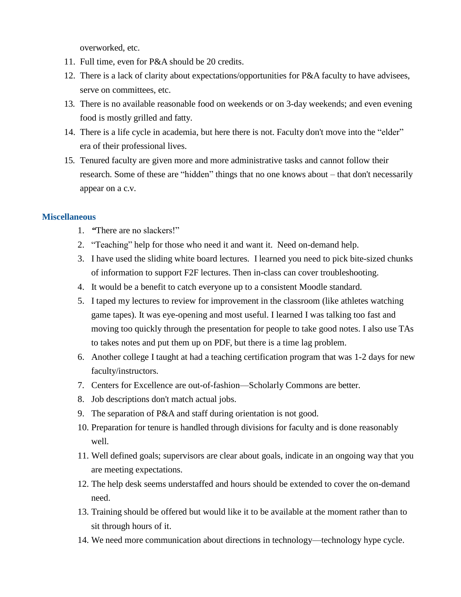overworked, etc.

- 11. Full time, even for P&A should be 20 credits.
- 12. There is a lack of clarity about expectations/opportunities for P&A faculty to have advisees, serve on committees, etc.
- 13. There is no available reasonable food on weekends or on 3-day weekends; and even evening food is mostly grilled and fatty.
- 14. There is a life cycle in academia, but here there is not. Faculty don't move into the "elder" era of their professional lives.
- 15. Tenured faculty are given more and more administrative tasks and cannot follow their research. Some of these are "hidden" things that no one knows about – that don't necessarily appear on a c.v.

#### **Miscellaneous**

- 1. *"*There are no slackers!"
- 2. "Teaching" help for those who need it and want it. Need on-demand help.
- 3. I have used the sliding white board lectures. I learned you need to pick bite-sized chunks of information to support F2F lectures. Then in-class can cover troubleshooting.
- 4. It would be a benefit to catch everyone up to a consistent Moodle standard.
- 5. I taped my lectures to review for improvement in the classroom (like athletes watching game tapes). It was eye-opening and most useful. I learned I was talking too fast and moving too quickly through the presentation for people to take good notes. I also use TAs to takes notes and put them up on PDF, but there is a time lag problem.
- 6. Another college I taught at had a teaching certification program that was 1-2 days for new faculty/instructors.
- 7. Centers for Excellence are out-of-fashion—Scholarly Commons are better.
- 8. Job descriptions don't match actual jobs.
- 9. The separation of P&A and staff during orientation is not good.
- 10. Preparation for tenure is handled through divisions for faculty and is done reasonably well.
- 11. Well defined goals; supervisors are clear about goals, indicate in an ongoing way that you are meeting expectations.
- 12. The help desk seems understaffed and hours should be extended to cover the on-demand need.
- 13. Training should be offered but would like it to be available at the moment rather than to sit through hours of it.
- 14. We need more communication about directions in technology—technology hype cycle.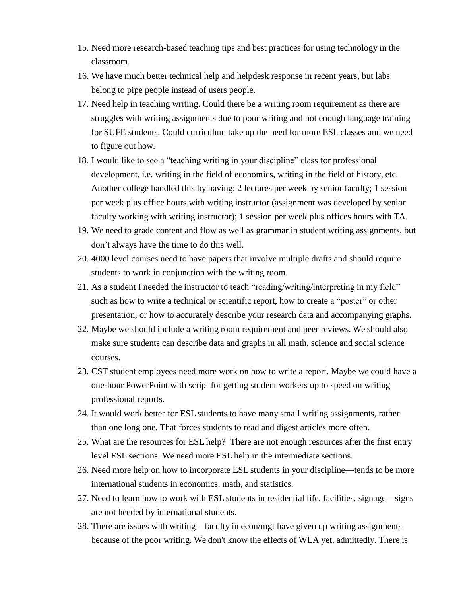- 15. Need more research-based teaching tips and best practices for using technology in the classroom.
- 16. We have much better technical help and helpdesk response in recent years, but labs belong to pipe people instead of users people.
- 17. Need help in teaching writing. Could there be a writing room requirement as there are struggles with writing assignments due to poor writing and not enough language training for SUFE students. Could curriculum take up the need for more ESL classes and we need to figure out how.
- 18. I would like to see a "teaching writing in your discipline" class for professional development, i.e. writing in the field of economics, writing in the field of history, etc. Another college handled this by having: 2 lectures per week by senior faculty; 1 session per week plus office hours with writing instructor (assignment was developed by senior faculty working with writing instructor); 1 session per week plus offices hours with TA.
- 19. We need to grade content and flow as well as grammar in student writing assignments, but don't always have the time to do this well.
- 20. 4000 level courses need to have papers that involve multiple drafts and should require students to work in conjunction with the writing room.
- 21. As a student I needed the instructor to teach "reading/writing/interpreting in my field" such as how to write a technical or scientific report, how to create a "poster" or other presentation, or how to accurately describe your research data and accompanying graphs.
- 22. Maybe we should include a writing room requirement and peer reviews. We should also make sure students can describe data and graphs in all math, science and social science courses.
- 23. CST student employees need more work on how to write a report. Maybe we could have a one-hour PowerPoint with script for getting student workers up to speed on writing professional reports.
- 24. It would work better for ESL students to have many small writing assignments, rather than one long one. That forces students to read and digest articles more often.
- 25. What are the resources for ESL help? There are not enough resources after the first entry level ESL sections. We need more ESL help in the intermediate sections.
- 26. Need more help on how to incorporate ESL students in your discipline—tends to be more international students in economics, math, and statistics.
- 27. Need to learn how to work with ESL students in residential life, facilities, signage—signs are not heeded by international students.
- 28. There are issues with writing faculty in econ/mgt have given up writing assignments because of the poor writing. We don't know the effects of WLA yet, admittedly. There is